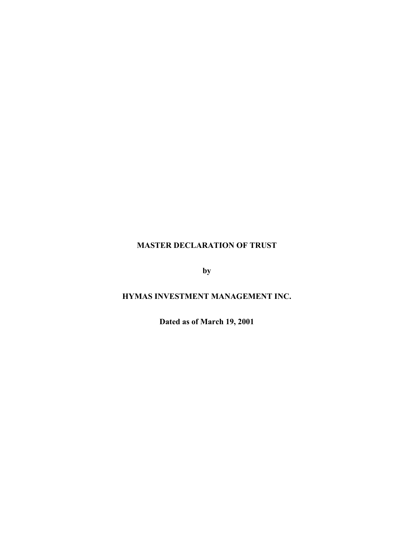# **MASTER DECLARATION OF TRUST**

**by** 

# **HYMAS INVESTMENT MANAGEMENT INC.**

**Dated as of March 19, 2001**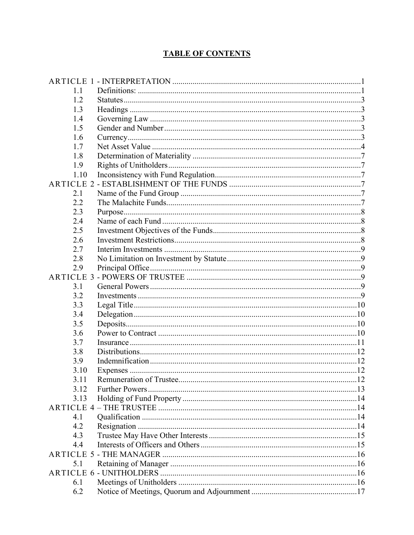# **TABLE OF CONTENTS**

| 1.1   |                                  |  |
|-------|----------------------------------|--|
| 1.2   |                                  |  |
| 1.3   |                                  |  |
| 1.4   |                                  |  |
| 1.5   |                                  |  |
| 1.6   |                                  |  |
| 1.7   |                                  |  |
| 1.8   |                                  |  |
| 1.9   |                                  |  |
| 1.10  |                                  |  |
|       |                                  |  |
| 2.1   |                                  |  |
| 2.2   |                                  |  |
| 2.3   |                                  |  |
| 2.4   |                                  |  |
| 2.5   |                                  |  |
| 2.6   |                                  |  |
| 2.7   |                                  |  |
| 2.8   |                                  |  |
| 2.9   |                                  |  |
|       |                                  |  |
| 3.1   |                                  |  |
| 3.2   |                                  |  |
| 3.3   |                                  |  |
| 3.4   |                                  |  |
| 3.5   |                                  |  |
| 3.6   |                                  |  |
| 3.7   |                                  |  |
| 3.8   |                                  |  |
| 3.9   |                                  |  |
| 3.10  |                                  |  |
| 3 1 1 | Remuneration of Trustee.<br>. 12 |  |
| 3.12  |                                  |  |
| 3.13  |                                  |  |
|       |                                  |  |
| 4.1   |                                  |  |
| 4.2   |                                  |  |
| 4.3   |                                  |  |
| 4.4   |                                  |  |
|       |                                  |  |
| 5.1   |                                  |  |
|       |                                  |  |
| 6.1   |                                  |  |
| 6.2   |                                  |  |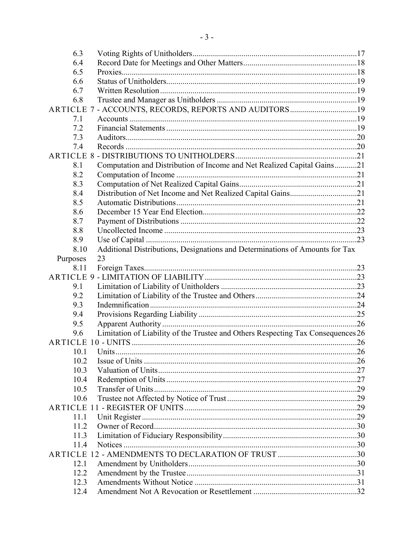| 6.3      |                                                                                  |  |
|----------|----------------------------------------------------------------------------------|--|
| 6.4      |                                                                                  |  |
| 6.5      |                                                                                  |  |
| 6.6      |                                                                                  |  |
| 6.7      |                                                                                  |  |
| 6.8      |                                                                                  |  |
|          | ARTICLE 7 - ACCOUNTS, RECORDS, REPORTS AND AUDITORS19                            |  |
| 7.1      |                                                                                  |  |
| 7.2      |                                                                                  |  |
| 7.3      |                                                                                  |  |
| 7.4      |                                                                                  |  |
|          |                                                                                  |  |
| 8.1      | Computation and Distribution of Income and Net Realized Capital Gains21          |  |
| 8.2      |                                                                                  |  |
| 8.3      |                                                                                  |  |
| 8.4      |                                                                                  |  |
| 8.5      |                                                                                  |  |
| 8.6      |                                                                                  |  |
| 8.7      |                                                                                  |  |
| 8.8      |                                                                                  |  |
| 8.9      |                                                                                  |  |
| 8.10     | Additional Distributions, Designations and Determinations of Amounts for Tax     |  |
| Purposes | 23                                                                               |  |
| 8.11     |                                                                                  |  |
|          |                                                                                  |  |
| 9.1      |                                                                                  |  |
| 9.2      |                                                                                  |  |
| 9.3      |                                                                                  |  |
| 9.4      |                                                                                  |  |
| 9.5      |                                                                                  |  |
| 9.6      | Limitation of Liability of the Trustee and Others Respecting Tax Consequences 26 |  |
|          |                                                                                  |  |
| 10.1     |                                                                                  |  |
| 10.2     |                                                                                  |  |
| 10.3     |                                                                                  |  |
| 10.4     |                                                                                  |  |
| 10.5     |                                                                                  |  |
| 10.6     |                                                                                  |  |
|          |                                                                                  |  |
| 11.1     |                                                                                  |  |
| 11.2     |                                                                                  |  |
| 11.3     |                                                                                  |  |
| 11.4     |                                                                                  |  |
|          |                                                                                  |  |
| 12.1     |                                                                                  |  |
| 12.2     |                                                                                  |  |
| 12.3     |                                                                                  |  |
| 12.4     |                                                                                  |  |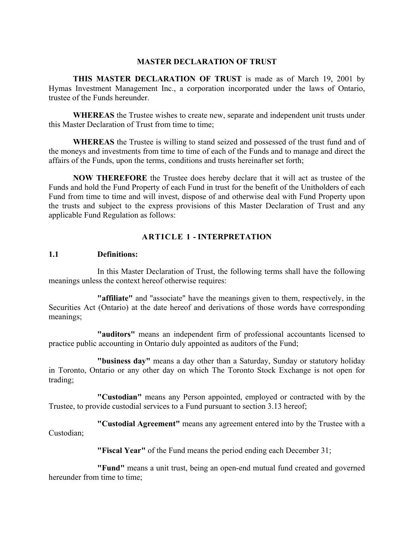#### **MASTER DECLARATION OF TRUST**

**THIS MASTER DECLARATION OF TRUST** is made as of March 19, 2001 by Hymas Investment Management Inc., a corporation incorporated under the laws of Ontario, trustee of the Funds hereunder.

**WHEREAS** the Trustee wishes to create new, separate and independent unit trusts under this Master Declaration of Trust from time to time;

**WHEREAS** the Trustee is willing to stand seized and possessed of the trust fund and of the moneys and investments from time to time of each of the Funds and to manage and direct the affairs of the Funds, upon the terms, conditions and trusts hereinafter set forth;

**NOW THEREFORE** the Trustee does hereby declare that it will act as trustee of the Funds and hold the Fund Property of each Fund in trust for the benefit of the Unitholders of each Fund from time to time and will invest, dispose of and otherwise deal with Fund Property upon the trusts and subject to the express provisions of this Master Declaration of Trust and any applicable Fund Regulation as follows:

### **ARTICLE 1 - INTERPRETATION**

#### **1.1 Definitions:**

In this Master Declaration of Trust, the following terms shall have the following meanings unless the context hereof otherwise requires:

**"affiliate"** and "associate" have the meanings given to them, respectively, in the Securities Act (Ontario) at the date hereof and derivations of those words have corresponding meanings;

**"auditors"** means an independent firm of professional accountants licensed to practice public accounting in Ontario duly appointed as auditors of the Fund;

**"business day"** means a day other than a Saturday, Sunday or statutory holiday in Toronto, Ontario or any other day on which The Toronto Stock Exchange is not open for trading;

**"Custodian"** means any Person appointed, employed or contracted with by the Trustee, to provide custodial services to a Fund pursuant to section 3.13 hereof;

**"Custodial Agreement"** means any agreement entered into by the Trustee with a Custodian;

**"Fiscal Year"** of the Fund means the period ending each December 31;

**"Fund"** means a unit trust, being an open-end mutual fund created and governed hereunder from time to time;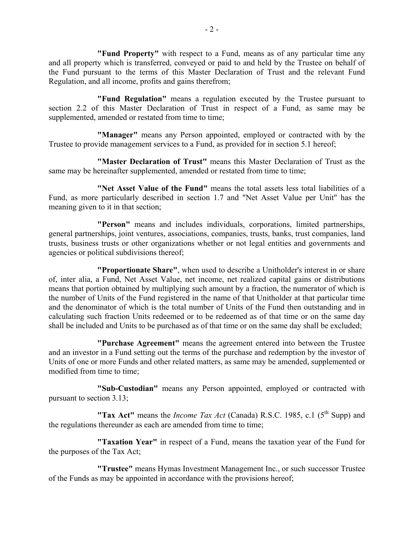**"Fund Property"** with respect to a Fund, means as of any particular time any and all property which is transferred, conveyed or paid to and held by the Trustee on behalf of the Fund pursuant to the terms of this Master Declaration of Trust and the relevant Fund Regulation, and all income, profits and gains therefrom;

**"Fund Regulation"** means a regulation executed by the Trustee pursuant to section 2.2 of this Master Declaration of Trust in respect of a Fund, as same may be supplemented, amended or restated from time to time;

**"Manager"** means any Person appointed, employed or contracted with by the Trustee to provide management services to a Fund, as provided for in section 5.1 hereof;

**"Master Declaration of Trust"** means this Master Declaration of Trust as the same may be hereinafter supplemented, amended or restated from time to time;

**"Net Asset Value of the Fund"** means the total assets less total liabilities of a Fund, as more particularly described in section 1.7 and "Net Asset Value per Unit" has the meaning given to it in that section;

**"Person"** means and includes individuals, corporations, limited partnerships, general partnerships, joint ventures, associations, companies, trusts, banks, trust companies, land trusts, business trusts or other organizations whether or not legal entities and governments and agencies or political subdivisions thereof;

**"Proportionate Share"**, when used to describe a Unitholder's interest in or share of, inter alia, a Fund, Net Asset Value, net income, net realized capital gains or distributions means that portion obtained by multiplying such amount by a fraction, the numerator of which is the number of Units of the Fund registered in the name of that Unitholder at that particular time and the denominator of which is the total number of Units of the Fund then outstanding and in calculating such fraction Units redeemed or to be redeemed as of that time or on the same day shall be included and Units to be purchased as of that time or on the same day shall be excluded;

**"Purchase Agreement"** means the agreement entered into between the Trustee and an investor in a Fund setting out the terms of the purchase and redemption by the investor of Units of one or more Funds and other related matters, as same may be amended, supplemented or modified from time to time;

**"Sub-Custodian"** means any Person appointed, employed or contracted with pursuant to section 3.13;

**"Tax Act"** means the *Income Tax Act* (Canada) R.S.C. 1985, c.1 ( $5<sup>th</sup>$  Supp) and the regulations thereunder as each are amended from time to time;

**"Taxation Year"** in respect of a Fund, means the taxation year of the Fund for the purposes of the Tax Act;

**"Trustee"** means Hymas Investment Management Inc., or such successor Trustee of the Funds as may be appointed in accordance with the provisions hereof;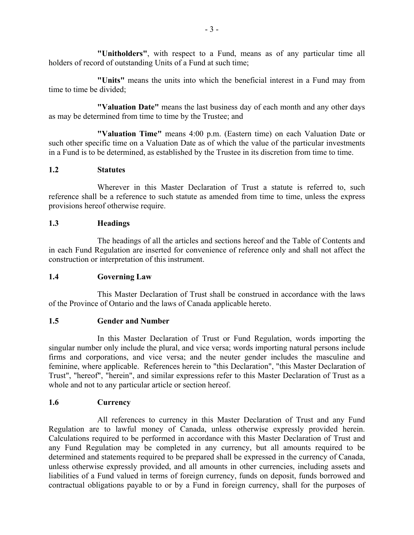**"Unitholders"**, with respect to a Fund, means as of any particular time all holders of record of outstanding Units of a Fund at such time;

**"Units"** means the units into which the beneficial interest in a Fund may from time to time be divided;

**"Valuation Date"** means the last business day of each month and any other days as may be determined from time to time by the Trustee; and

**"Valuation Time"** means 4:00 p.m. (Eastern time) on each Valuation Date or such other specific time on a Valuation Date as of which the value of the particular investments in a Fund is to be determined, as established by the Trustee in its discretion from time to time.

#### **1.2 Statutes**

Wherever in this Master Declaration of Trust a statute is referred to, such reference shall be a reference to such statute as amended from time to time, unless the express provisions hereof otherwise require.

#### **1.3 Headings**

The headings of all the articles and sections hereof and the Table of Contents and in each Fund Regulation are inserted for convenience of reference only and shall not affect the construction or interpretation of this instrument.

#### **1.4 Governing Law**

This Master Declaration of Trust shall be construed in accordance with the laws of the Province of Ontario and the laws of Canada applicable hereto.

#### **1.5 Gender and Number**

In this Master Declaration of Trust or Fund Regulation, words importing the singular number only include the plural, and vice versa; words importing natural persons include firms and corporations, and vice versa; and the neuter gender includes the masculine and feminine, where applicable. References herein to "this Declaration", "this Master Declaration of Trust", "hereof", "herein", and similar expressions refer to this Master Declaration of Trust as a whole and not to any particular article or section hereof.

#### **1.6 Currency**

All references to currency in this Master Declaration of Trust and any Fund Regulation are to lawful money of Canada, unless otherwise expressly provided herein. Calculations required to be performed in accordance with this Master Declaration of Trust and any Fund Regulation may be completed in any currency, but all amounts required to be determined and statements required to be prepared shall be expressed in the currency of Canada, unless otherwise expressly provided, and all amounts in other currencies, including assets and liabilities of a Fund valued in terms of foreign currency, funds on deposit, funds borrowed and contractual obligations payable to or by a Fund in foreign currency, shall for the purposes of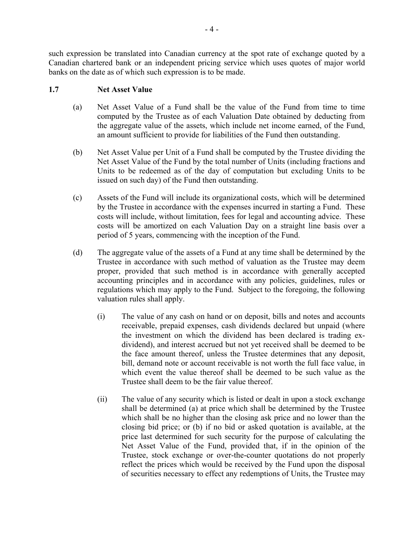such expression be translated into Canadian currency at the spot rate of exchange quoted by a Canadian chartered bank or an independent pricing service which uses quotes of major world banks on the date as of which such expression is to be made.

# **1.7 Net Asset Value**

- (a) Net Asset Value of a Fund shall be the value of the Fund from time to time computed by the Trustee as of each Valuation Date obtained by deducting from the aggregate value of the assets, which include net income earned, of the Fund, an amount sufficient to provide for liabilities of the Fund then outstanding.
- (b) Net Asset Value per Unit of a Fund shall be computed by the Trustee dividing the Net Asset Value of the Fund by the total number of Units (including fractions and Units to be redeemed as of the day of computation but excluding Units to be issued on such day) of the Fund then outstanding.
- (c) Assets of the Fund will include its organizational costs, which will be determined by the Trustee in accordance with the expenses incurred in starting a Fund. These costs will include, without limitation, fees for legal and accounting advice. These costs will be amortized on each Valuation Day on a straight line basis over a period of 5 years, commencing with the inception of the Fund.
- (d) The aggregate value of the assets of a Fund at any time shall be determined by the Trustee in accordance with such method of valuation as the Trustee may deem proper, provided that such method is in accordance with generally accepted accounting principles and in accordance with any policies, guidelines, rules or regulations which may apply to the Fund. Subject to the foregoing, the following valuation rules shall apply.
	- (i) The value of any cash on hand or on deposit, bills and notes and accounts receivable, prepaid expenses, cash dividends declared but unpaid (where the investment on which the dividend has been declared is trading exdividend), and interest accrued but not yet received shall be deemed to be the face amount thereof, unless the Trustee determines that any deposit, bill, demand note or account receivable is not worth the full face value, in which event the value thereof shall be deemed to be such value as the Trustee shall deem to be the fair value thereof.
	- (ii) The value of any security which is listed or dealt in upon a stock exchange shall be determined (a) at price which shall be determined by the Trustee which shall be no higher than the closing ask price and no lower than the closing bid price; or (b) if no bid or asked quotation is available, at the price last determined for such security for the purpose of calculating the Net Asset Value of the Fund, provided that, if in the opinion of the Trustee, stock exchange or over-the-counter quotations do not properly reflect the prices which would be received by the Fund upon the disposal of securities necessary to effect any redemptions of Units, the Trustee may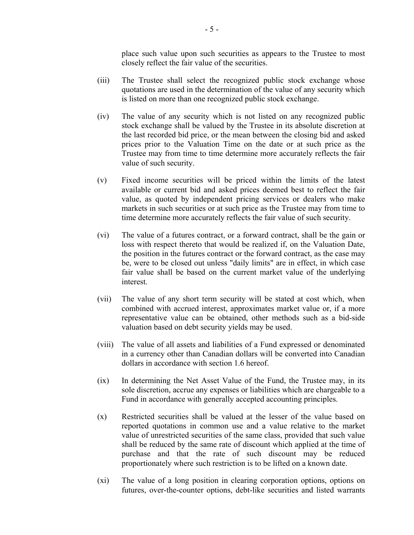place such value upon such securities as appears to the Trustee to most closely reflect the fair value of the securities.

- (iii) The Trustee shall select the recognized public stock exchange whose quotations are used in the determination of the value of any security which is listed on more than one recognized public stock exchange.
- (iv) The value of any security which is not listed on any recognized public stock exchange shall be valued by the Trustee in its absolute discretion at the last recorded bid price, or the mean between the closing bid and asked prices prior to the Valuation Time on the date or at such price as the Trustee may from time to time determine more accurately reflects the fair value of such security.
- (v) Fixed income securities will be priced within the limits of the latest available or current bid and asked prices deemed best to reflect the fair value, as quoted by independent pricing services or dealers who make markets in such securities or at such price as the Trustee may from time to time determine more accurately reflects the fair value of such security.
- (vi) The value of a futures contract, or a forward contract, shall be the gain or loss with respect thereto that would be realized if, on the Valuation Date, the position in the futures contract or the forward contract, as the case may be, were to be closed out unless "daily limits" are in effect, in which case fair value shall be based on the current market value of the underlying interest.
- (vii) The value of any short term security will be stated at cost which, when combined with accrued interest, approximates market value or, if a more representative value can be obtained, other methods such as a bid-side valuation based on debt security yields may be used.
- (viii) The value of all assets and liabilities of a Fund expressed or denominated in a currency other than Canadian dollars will be converted into Canadian dollars in accordance with section 1.6 hereof.
- (ix) In determining the Net Asset Value of the Fund, the Trustee may, in its sole discretion, accrue any expenses or liabilities which are chargeable to a Fund in accordance with generally accepted accounting principles.
- (x) Restricted securities shall be valued at the lesser of the value based on reported quotations in common use and a value relative to the market value of unrestricted securities of the same class, provided that such value shall be reduced by the same rate of discount which applied at the time of purchase and that the rate of such discount may be reduced proportionately where such restriction is to be lifted on a known date.
- (xi) The value of a long position in clearing corporation options, options on futures, over-the-counter options, debt-like securities and listed warrants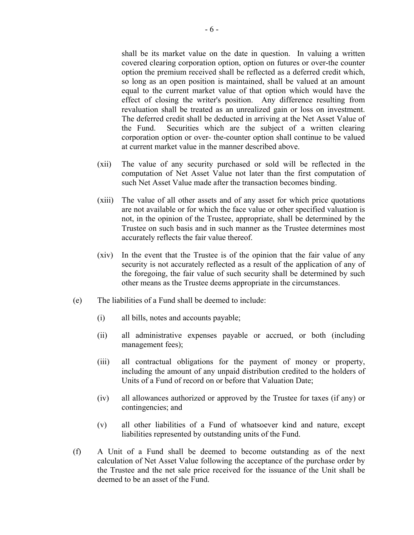shall be its market value on the date in question. In valuing a written covered clearing corporation option, option on futures or over-the counter option the premium received shall be reflected as a deferred credit which, so long as an open position is maintained, shall be valued at an amount equal to the current market value of that option which would have the effect of closing the writer's position. Any difference resulting from revaluation shall be treated as an unrealized gain or loss on investment. The deferred credit shall be deducted in arriving at the Net Asset Value of the Fund. Securities which are the subject of a written clearing corporation option or over- the-counter option shall continue to be valued at current market value in the manner described above.

- (xii) The value of any security purchased or sold will be reflected in the computation of Net Asset Value not later than the first computation of such Net Asset Value made after the transaction becomes binding.
- (xiii) The value of all other assets and of any asset for which price quotations are not available or for which the face value or other specified valuation is not, in the opinion of the Trustee, appropriate, shall be determined by the Trustee on such basis and in such manner as the Trustee determines most accurately reflects the fair value thereof.
- (xiv) In the event that the Trustee is of the opinion that the fair value of any security is not accurately reflected as a result of the application of any of the foregoing, the fair value of such security shall be determined by such other means as the Trustee deems appropriate in the circumstances.
- (e) The liabilities of a Fund shall be deemed to include:
	- (i) all bills, notes and accounts payable;
	- (ii) all administrative expenses payable or accrued, or both (including management fees);
	- (iii) all contractual obligations for the payment of money or property, including the amount of any unpaid distribution credited to the holders of Units of a Fund of record on or before that Valuation Date;
	- (iv) all allowances authorized or approved by the Trustee for taxes (if any) or contingencies; and
	- (v) all other liabilities of a Fund of whatsoever kind and nature, except liabilities represented by outstanding units of the Fund.
- (f) A Unit of a Fund shall be deemed to become outstanding as of the next calculation of Net Asset Value following the acceptance of the purchase order by the Trustee and the net sale price received for the issuance of the Unit shall be deemed to be an asset of the Fund.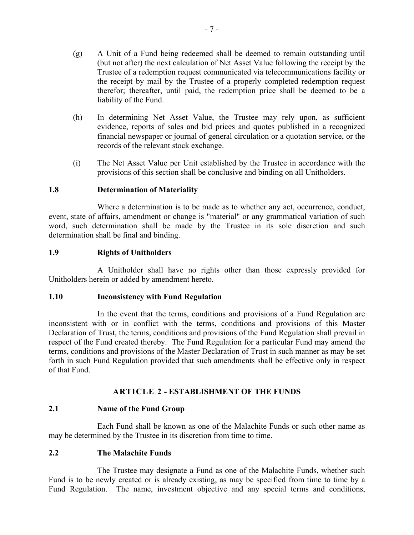- (g) A Unit of a Fund being redeemed shall be deemed to remain outstanding until (but not after) the next calculation of Net Asset Value following the receipt by the Trustee of a redemption request communicated via telecommunications facility or the receipt by mail by the Trustee of a properly completed redemption request therefor; thereafter, until paid, the redemption price shall be deemed to be a liability of the Fund.
- (h) In determining Net Asset Value, the Trustee may rely upon, as sufficient evidence, reports of sales and bid prices and quotes published in a recognized financial newspaper or journal of general circulation or a quotation service, or the records of the relevant stock exchange.
- (i) The Net Asset Value per Unit established by the Trustee in accordance with the provisions of this section shall be conclusive and binding on all Unitholders.

### **1.8 Determination of Materiality**

Where a determination is to be made as to whether any act, occurrence, conduct, event, state of affairs, amendment or change is "material" or any grammatical variation of such word, such determination shall be made by the Trustee in its sole discretion and such determination shall be final and binding.

### **1.9 Rights of Unitholders**

A Unitholder shall have no rights other than those expressly provided for Unitholders herein or added by amendment hereto.

#### **1.10 Inconsistency with Fund Regulation**

In the event that the terms, conditions and provisions of a Fund Regulation are inconsistent with or in conflict with the terms, conditions and provisions of this Master Declaration of Trust, the terms, conditions and provisions of the Fund Regulation shall prevail in respect of the Fund created thereby. The Fund Regulation for a particular Fund may amend the terms, conditions and provisions of the Master Declaration of Trust in such manner as may be set forth in such Fund Regulation provided that such amendments shall be effective only in respect of that Fund.

# **ARTICLE 2 - ESTABLISHMENT OF THE FUNDS**

# **2.1 Name of the Fund Group**

Each Fund shall be known as one of the Malachite Funds or such other name as may be determined by the Trustee in its discretion from time to time.

#### **2.2 The Malachite Funds**

The Trustee may designate a Fund as one of the Malachite Funds, whether such Fund is to be newly created or is already existing, as may be specified from time to time by a Fund Regulation. The name, investment objective and any special terms and conditions,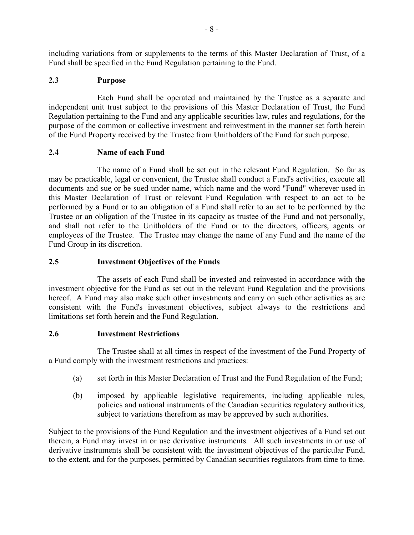including variations from or supplements to the terms of this Master Declaration of Trust, of a Fund shall be specified in the Fund Regulation pertaining to the Fund.

# **2.3 Purpose**

Each Fund shall be operated and maintained by the Trustee as a separate and independent unit trust subject to the provisions of this Master Declaration of Trust, the Fund Regulation pertaining to the Fund and any applicable securities law, rules and regulations, for the purpose of the common or collective investment and reinvestment in the manner set forth herein of the Fund Property received by the Trustee from Unitholders of the Fund for such purpose.

# **2.4 Name of each Fund**

The name of a Fund shall be set out in the relevant Fund Regulation. So far as may be practicable, legal or convenient, the Trustee shall conduct a Fund's activities, execute all documents and sue or be sued under name, which name and the word "Fund" wherever used in this Master Declaration of Trust or relevant Fund Regulation with respect to an act to be performed by a Fund or to an obligation of a Fund shall refer to an act to be performed by the Trustee or an obligation of the Trustee in its capacity as trustee of the Fund and not personally, and shall not refer to the Unitholders of the Fund or to the directors, officers, agents or employees of the Trustee. The Trustee may change the name of any Fund and the name of the Fund Group in its discretion.

### **2.5 Investment Objectives of the Funds**

The assets of each Fund shall be invested and reinvested in accordance with the investment objective for the Fund as set out in the relevant Fund Regulation and the provisions hereof. A Fund may also make such other investments and carry on such other activities as are consistent with the Fund's investment objectives, subject always to the restrictions and limitations set forth herein and the Fund Regulation.

#### **2.6 Investment Restrictions**

The Trustee shall at all times in respect of the investment of the Fund Property of a Fund comply with the investment restrictions and practices:

- (a) set forth in this Master Declaration of Trust and the Fund Regulation of the Fund;
- (b) imposed by applicable legislative requirements, including applicable rules, policies and national instruments of the Canadian securities regulatory authorities, subject to variations therefrom as may be approved by such authorities.

Subject to the provisions of the Fund Regulation and the investment objectives of a Fund set out therein, a Fund may invest in or use derivative instruments. All such investments in or use of derivative instruments shall be consistent with the investment objectives of the particular Fund, to the extent, and for the purposes, permitted by Canadian securities regulators from time to time.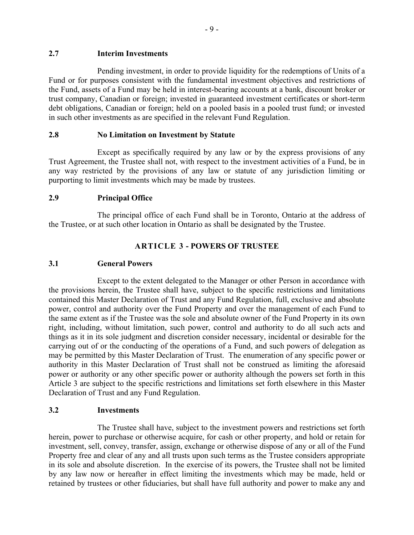### **2.7 Interim Investments**

Pending investment, in order to provide liquidity for the redemptions of Units of a Fund or for purposes consistent with the fundamental investment objectives and restrictions of the Fund, assets of a Fund may be held in interest-bearing accounts at a bank, discount broker or trust company, Canadian or foreign; invested in guaranteed investment certificates or short-term debt obligations, Canadian or foreign; held on a pooled basis in a pooled trust fund; or invested in such other investments as are specified in the relevant Fund Regulation.

#### **2.8 No Limitation on Investment by Statute**

Except as specifically required by any law or by the express provisions of any Trust Agreement, the Trustee shall not, with respect to the investment activities of a Fund, be in any way restricted by the provisions of any law or statute of any jurisdiction limiting or purporting to limit investments which may be made by trustees.

#### **2.9 Principal Office**

The principal office of each Fund shall be in Toronto, Ontario at the address of the Trustee, or at such other location in Ontario as shall be designated by the Trustee.

#### **ARTICLE 3 - POWERS OF TRUSTEE**

#### **3.1 General Powers**

Except to the extent delegated to the Manager or other Person in accordance with the provisions herein, the Trustee shall have, subject to the specific restrictions and limitations contained this Master Declaration of Trust and any Fund Regulation, full, exclusive and absolute power, control and authority over the Fund Property and over the management of each Fund to the same extent as if the Trustee was the sole and absolute owner of the Fund Property in its own right, including, without limitation, such power, control and authority to do all such acts and things as it in its sole judgment and discretion consider necessary, incidental or desirable for the carrying out of or the conducting of the operations of a Fund, and such powers of delegation as may be permitted by this Master Declaration of Trust. The enumeration of any specific power or authority in this Master Declaration of Trust shall not be construed as limiting the aforesaid power or authority or any other specific power or authority although the powers set forth in this Article 3 are subject to the specific restrictions and limitations set forth elsewhere in this Master Declaration of Trust and any Fund Regulation.

### **3.2 Investments**

The Trustee shall have, subject to the investment powers and restrictions set forth herein, power to purchase or otherwise acquire, for cash or other property, and hold or retain for investment, sell, convey, transfer, assign, exchange or otherwise dispose of any or all of the Fund Property free and clear of any and all trusts upon such terms as the Trustee considers appropriate in its sole and absolute discretion. In the exercise of its powers, the Trustee shall not be limited by any law now or hereafter in effect limiting the investments which may be made, held or retained by trustees or other fiduciaries, but shall have full authority and power to make any and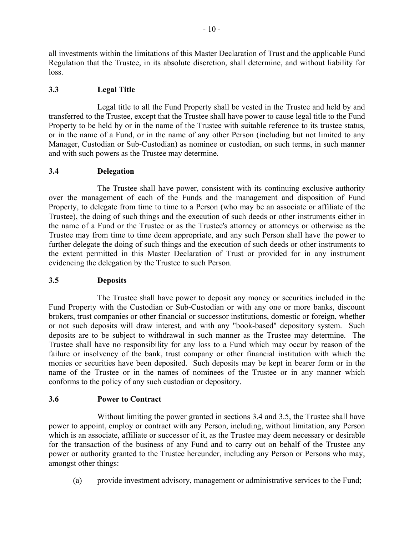all investments within the limitations of this Master Declaration of Trust and the applicable Fund Regulation that the Trustee, in its absolute discretion, shall determine, and without liability for loss.

# **3.3 Legal Title**

Legal title to all the Fund Property shall be vested in the Trustee and held by and transferred to the Trustee, except that the Trustee shall have power to cause legal title to the Fund Property to be held by or in the name of the Trustee with suitable reference to its trustee status, or in the name of a Fund, or in the name of any other Person (including but not limited to any Manager, Custodian or Sub-Custodian) as nominee or custodian, on such terms, in such manner and with such powers as the Trustee may determine.

# **3.4 Delegation**

The Trustee shall have power, consistent with its continuing exclusive authority over the management of each of the Funds and the management and disposition of Fund Property, to delegate from time to time to a Person (who may be an associate or affiliate of the Trustee), the doing of such things and the execution of such deeds or other instruments either in the name of a Fund or the Trustee or as the Trustee's attorney or attorneys or otherwise as the Trustee may from time to time deem appropriate, and any such Person shall have the power to further delegate the doing of such things and the execution of such deeds or other instruments to the extent permitted in this Master Declaration of Trust or provided for in any instrument evidencing the delegation by the Trustee to such Person.

# **3.5 Deposits**

The Trustee shall have power to deposit any money or securities included in the Fund Property with the Custodian or Sub-Custodian or with any one or more banks, discount brokers, trust companies or other financial or successor institutions, domestic or foreign, whether or not such deposits will draw interest, and with any "book-based" depository system. Such deposits are to be subject to withdrawal in such manner as the Trustee may determine. The Trustee shall have no responsibility for any loss to a Fund which may occur by reason of the failure or insolvency of the bank, trust company or other financial institution with which the monies or securities have been deposited. Such deposits may be kept in bearer form or in the name of the Trustee or in the names of nominees of the Trustee or in any manner which conforms to the policy of any such custodian or depository.

# **3.6 Power to Contract**

Without limiting the power granted in sections 3.4 and 3.5, the Trustee shall have power to appoint, employ or contract with any Person, including, without limitation, any Person which is an associate, affiliate or successor of it, as the Trustee may deem necessary or desirable for the transaction of the business of any Fund and to carry out on behalf of the Trustee any power or authority granted to the Trustee hereunder, including any Person or Persons who may, amongst other things:

(a) provide investment advisory, management or administrative services to the Fund;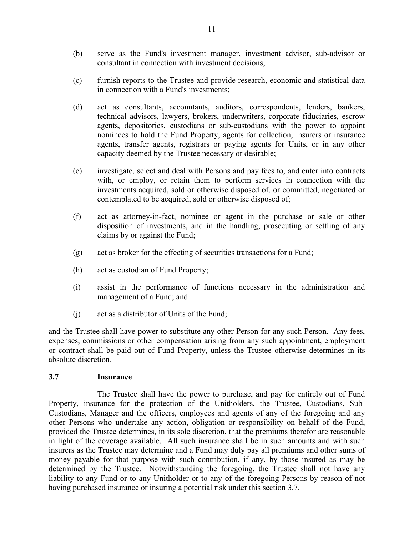- (b) serve as the Fund's investment manager, investment advisor, sub-advisor or consultant in connection with investment decisions;
- (c) furnish reports to the Trustee and provide research, economic and statistical data in connection with a Fund's investments;
- (d) act as consultants, accountants, auditors, correspondents, lenders, bankers, technical advisors, lawyers, brokers, underwriters, corporate fiduciaries, escrow agents, depositories, custodians or sub-custodians with the power to appoint nominees to hold the Fund Property, agents for collection, insurers or insurance agents, transfer agents, registrars or paying agents for Units, or in any other capacity deemed by the Trustee necessary or desirable;
- (e) investigate, select and deal with Persons and pay fees to, and enter into contracts with, or employ, or retain them to perform services in connection with the investments acquired, sold or otherwise disposed of, or committed, negotiated or contemplated to be acquired, sold or otherwise disposed of;
- (f) act as attorney-in-fact, nominee or agent in the purchase or sale or other disposition of investments, and in the handling, prosecuting or settling of any claims by or against the Fund;
- (g) act as broker for the effecting of securities transactions for a Fund;
- (h) act as custodian of Fund Property;
- (i) assist in the performance of functions necessary in the administration and management of a Fund; and
- (j) act as a distributor of Units of the Fund;

and the Trustee shall have power to substitute any other Person for any such Person. Any fees, expenses, commissions or other compensation arising from any such appointment, employment or contract shall be paid out of Fund Property, unless the Trustee otherwise determines in its absolute discretion.

#### **3.7 Insurance**

The Trustee shall have the power to purchase, and pay for entirely out of Fund Property, insurance for the protection of the Unitholders, the Trustee, Custodians, Sub-Custodians, Manager and the officers, employees and agents of any of the foregoing and any other Persons who undertake any action, obligation or responsibility on behalf of the Fund, provided the Trustee determines, in its sole discretion, that the premiums therefor are reasonable in light of the coverage available. All such insurance shall be in such amounts and with such insurers as the Trustee may determine and a Fund may duly pay all premiums and other sums of money payable for that purpose with such contribution, if any, by those insured as may be determined by the Trustee. Notwithstanding the foregoing, the Trustee shall not have any liability to any Fund or to any Unitholder or to any of the foregoing Persons by reason of not having purchased insurance or insuring a potential risk under this section 3.7.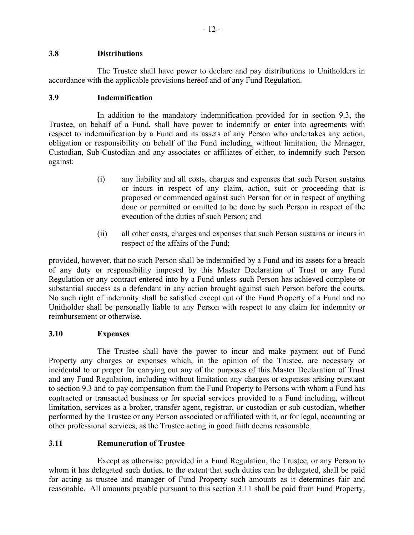### **3.8 Distributions**

The Trustee shall have power to declare and pay distributions to Unitholders in accordance with the applicable provisions hereof and of any Fund Regulation.

### **3.9 Indemnification**

In addition to the mandatory indemnification provided for in section 9.3, the Trustee, on behalf of a Fund, shall have power to indemnify or enter into agreements with respect to indemnification by a Fund and its assets of any Person who undertakes any action, obligation or responsibility on behalf of the Fund including, without limitation, the Manager, Custodian, Sub-Custodian and any associates or affiliates of either, to indemnify such Person against:

- (i) any liability and all costs, charges and expenses that such Person sustains or incurs in respect of any claim, action, suit or proceeding that is proposed or commenced against such Person for or in respect of anything done or permitted or omitted to be done by such Person in respect of the execution of the duties of such Person; and
- (ii) all other costs, charges and expenses that such Person sustains or incurs in respect of the affairs of the Fund;

provided, however, that no such Person shall be indemnified by a Fund and its assets for a breach of any duty or responsibility imposed by this Master Declaration of Trust or any Fund Regulation or any contract entered into by a Fund unless such Person has achieved complete or substantial success as a defendant in any action brought against such Person before the courts. No such right of indemnity shall be satisfied except out of the Fund Property of a Fund and no Unitholder shall be personally liable to any Person with respect to any claim for indemnity or reimbursement or otherwise.

# **3.10 Expenses**

The Trustee shall have the power to incur and make payment out of Fund Property any charges or expenses which, in the opinion of the Trustee, are necessary or incidental to or proper for carrying out any of the purposes of this Master Declaration of Trust and any Fund Regulation, including without limitation any charges or expenses arising pursuant to section 9.3 and to pay compensation from the Fund Property to Persons with whom a Fund has contracted or transacted business or for special services provided to a Fund including, without limitation, services as a broker, transfer agent, registrar, or custodian or sub-custodian, whether performed by the Trustee or any Person associated or affiliated with it, or for legal, accounting or other professional services, as the Trustee acting in good faith deems reasonable.

# **3.11 Remuneration of Trustee**

Except as otherwise provided in a Fund Regulation, the Trustee, or any Person to whom it has delegated such duties, to the extent that such duties can be delegated, shall be paid for acting as trustee and manager of Fund Property such amounts as it determines fair and reasonable. All amounts payable pursuant to this section 3.11 shall be paid from Fund Property,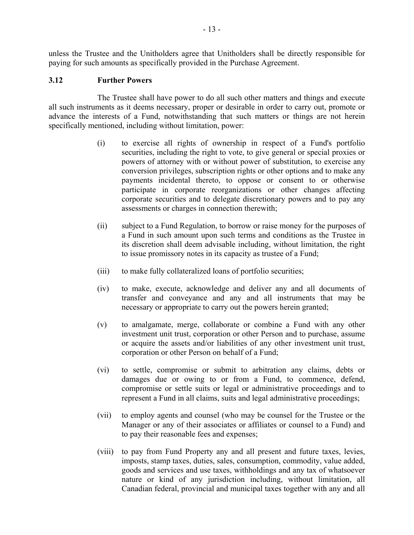unless the Trustee and the Unitholders agree that Unitholders shall be directly responsible for paying for such amounts as specifically provided in the Purchase Agreement.

### **3.12 Further Powers**

The Trustee shall have power to do all such other matters and things and execute all such instruments as it deems necessary, proper or desirable in order to carry out, promote or advance the interests of a Fund, notwithstanding that such matters or things are not herein specifically mentioned, including without limitation, power:

- (i) to exercise all rights of ownership in respect of a Fund's portfolio securities, including the right to vote, to give general or special proxies or powers of attorney with or without power of substitution, to exercise any conversion privileges, subscription rights or other options and to make any payments incidental thereto, to oppose or consent to or otherwise participate in corporate reorganizations or other changes affecting corporate securities and to delegate discretionary powers and to pay any assessments or charges in connection therewith;
- (ii) subject to a Fund Regulation, to borrow or raise money for the purposes of a Fund in such amount upon such terms and conditions as the Trustee in its discretion shall deem advisable including, without limitation, the right to issue promissory notes in its capacity as trustee of a Fund;
- (iii) to make fully collateralized loans of portfolio securities;
- (iv) to make, execute, acknowledge and deliver any and all documents of transfer and conveyance and any and all instruments that may be necessary or appropriate to carry out the powers herein granted;
- (v) to amalgamate, merge, collaborate or combine a Fund with any other investment unit trust, corporation or other Person and to purchase, assume or acquire the assets and/or liabilities of any other investment unit trust, corporation or other Person on behalf of a Fund;
- (vi) to settle, compromise or submit to arbitration any claims, debts or damages due or owing to or from a Fund, to commence, defend, compromise or settle suits or legal or administrative proceedings and to represent a Fund in all claims, suits and legal administrative proceedings;
- (vii) to employ agents and counsel (who may be counsel for the Trustee or the Manager or any of their associates or affiliates or counsel to a Fund) and to pay their reasonable fees and expenses;
- (viii) to pay from Fund Property any and all present and future taxes, levies, imposts, stamp taxes, duties, sales, consumption, commodity, value added, goods and services and use taxes, withholdings and any tax of whatsoever nature or kind of any jurisdiction including, without limitation, all Canadian federal, provincial and municipal taxes together with any and all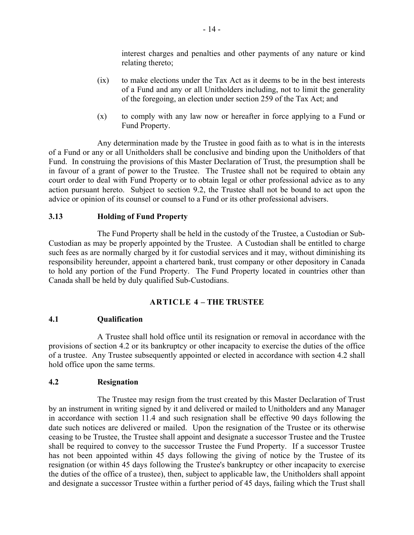interest charges and penalties and other payments of any nature or kind relating thereto;

- (ix) to make elections under the Tax Act as it deems to be in the best interests of a Fund and any or all Unitholders including, not to limit the generality of the foregoing, an election under section 259 of the Tax Act; and
- (x) to comply with any law now or hereafter in force applying to a Fund or Fund Property.

Any determination made by the Trustee in good faith as to what is in the interests of a Fund or any or all Unitholders shall be conclusive and binding upon the Unitholders of that Fund. In construing the provisions of this Master Declaration of Trust, the presumption shall be in favour of a grant of power to the Trustee. The Trustee shall not be required to obtain any court order to deal with Fund Property or to obtain legal or other professional advice as to any action pursuant hereto. Subject to section 9.2, the Trustee shall not be bound to act upon the advice or opinion of its counsel or counsel to a Fund or its other professional advisers.

### **3.13 Holding of Fund Property**

The Fund Property shall be held in the custody of the Trustee, a Custodian or Sub-Custodian as may be properly appointed by the Trustee. A Custodian shall be entitled to charge such fees as are normally charged by it for custodial services and it may, without diminishing its responsibility hereunder, appoint a chartered bank, trust company or other depository in Canada to hold any portion of the Fund Property. The Fund Property located in countries other than Canada shall be held by duly qualified Sub-Custodians.

#### **ARTICLE 4 – THE TRUSTEE**

#### **4.1 Qualification**

A Trustee shall hold office until its resignation or removal in accordance with the provisions of section 4.2 or its bankruptcy or other incapacity to exercise the duties of the office of a trustee. Any Trustee subsequently appointed or elected in accordance with section 4.2 shall hold office upon the same terms.

#### **4.2 Resignation**

The Trustee may resign from the trust created by this Master Declaration of Trust by an instrument in writing signed by it and delivered or mailed to Unitholders and any Manager in accordance with section 11.4 and such resignation shall be effective 90 days following the date such notices are delivered or mailed. Upon the resignation of the Trustee or its otherwise ceasing to be Trustee, the Trustee shall appoint and designate a successor Trustee and the Trustee shall be required to convey to the successor Trustee the Fund Property. If a successor Trustee has not been appointed within 45 days following the giving of notice by the Trustee of its resignation (or within 45 days following the Trustee's bankruptcy or other incapacity to exercise the duties of the office of a trustee), then, subject to applicable law, the Unitholders shall appoint and designate a successor Trustee within a further period of 45 days, failing which the Trust shall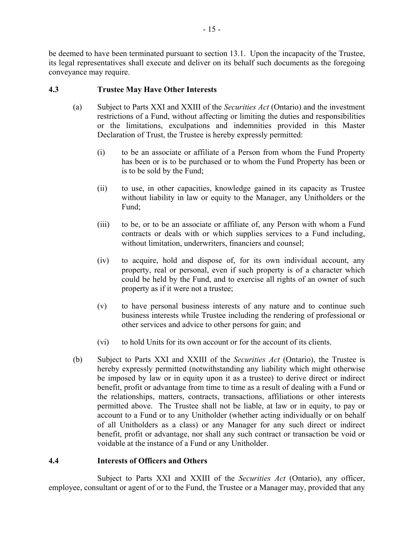be deemed to have been terminated pursuant to section 13.1. Upon the incapacity of the Trustee, its legal representatives shall execute and deliver on its behalf such documents as the foregoing conveyance may require.

### **4.3 Trustee May Have Other Interests**

- (a) Subject to Parts XXI and XXIII of the *Securities Act* (Ontario) and the investment restrictions of a Fund, without affecting or limiting the duties and responsibilities or the limitations, exculpations and indemnities provided in this Master Declaration of Trust, the Trustee is hereby expressly permitted:
	- (i) to be an associate or affiliate of a Person from whom the Fund Property has been or is to be purchased or to whom the Fund Property has been or is to be sold by the Fund;
	- (ii) to use, in other capacities, knowledge gained in its capacity as Trustee without liability in law or equity to the Manager, any Unitholders or the Fund;
	- (iii) to be, or to be an associate or affiliate of, any Person with whom a Fund contracts or deals with or which supplies services to a Fund including, without limitation, underwriters, financiers and counsel;
	- (iv) to acquire, hold and dispose of, for its own individual account, any property, real or personal, even if such property is of a character which could be held by the Fund, and to exercise all rights of an owner of such property as if it were not a trustee;
	- (v) to have personal business interests of any nature and to continue such business interests while Trustee including the rendering of professional or other services and advice to other persons for gain; and
	- (vi) to hold Units for its own account or for the account of its clients.
- (b) Subject to Parts XXI and XXIII of the *Securities Act* (Ontario), the Trustee is hereby expressly permitted (notwithstanding any liability which might otherwise be imposed by law or in equity upon it as a trustee) to derive direct or indirect benefit, profit or advantage from time to time as a result of dealing with a Fund or the relationships, matters, contracts, transactions, affiliations or other interests permitted above. The Trustee shall not be liable, at law or in equity, to pay or account to a Fund or to any Unitholder (whether acting individually or on behalf of all Unitholders as a class) or any Manager for any such direct or indirect benefit, profit or advantage, nor shall any such contract or transaction be void or voidable at the instance of a Fund or any Unitholder.

#### **4.4 Interests of Officers and Others**

Subject to Parts XXI and XXIII of the *Securities Act* (Ontario), any officer, employee, consultant or agent of or to the Fund, the Trustee or a Manager may, provided that any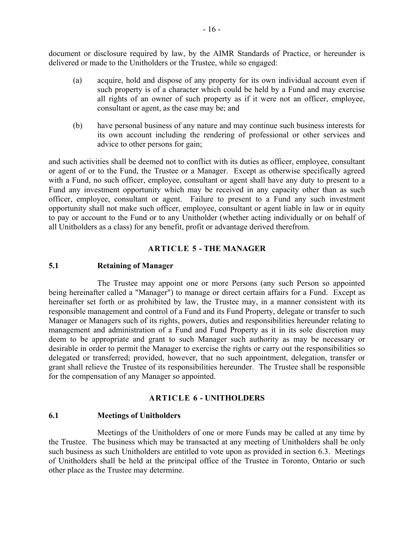document or disclosure required by law, by the AIMR Standards of Practice, or hereunder is delivered or made to the Unitholders or the Trustee, while so engaged:

- (a) acquire, hold and dispose of any property for its own individual account even if such property is of a character which could be held by a Fund and may exercise all rights of an owner of such property as if it were not an officer, employee, consultant or agent, as the case may be; and
- (b) have personal business of any nature and may continue such business interests for its own account including the rendering of professional or other services and advice to other persons for gain;

and such activities shall be deemed not to conflict with its duties as officer, employee, consultant or agent of or to the Fund, the Trustee or a Manager. Except as otherwise specifically agreed with a Fund, no such officer, employee, consultant or agent shall have any duty to present to a Fund any investment opportunity which may be received in any capacity other than as such officer, employee, consultant or agent. Failure to present to a Fund any such investment opportunity shall not make such officer, employee, consultant or agent liable in law or in equity to pay or account to the Fund or to any Unitholder (whether acting individually or on behalf of all Unitholders as a class) for any benefit, profit or advantage derived therefrom.

# **ARTICLE 5 - THE MANAGER**

#### **5.1 Retaining of Manager**

The Trustee may appoint one or more Persons (any such Person so appointed being hereinafter called a "Manager") to manage or direct certain affairs for a Fund. Except as hereinafter set forth or as prohibited by law, the Trustee may, in a manner consistent with its responsible management and control of a Fund and its Fund Property, delegate or transfer to such Manager or Managers such of its rights, powers, duties and responsibilities hereunder relating to management and administration of a Fund and Fund Property as it in its sole discretion may deem to be appropriate and grant to such Manager such authority as may be necessary or desirable in order to permit the Manager to exercise the rights or carry out the responsibilities so delegated or transferred; provided, however, that no such appointment, delegation, transfer or grant shall relieve the Trustee of its responsibilities hereunder. The Trustee shall be responsible for the compensation of any Manager so appointed.

#### **ARTICLE 6 - UNITHOLDERS**

#### **6.1 Meetings of Unitholders**

Meetings of the Unitholders of one or more Funds may be called at any time by the Trustee. The business which may be transacted at any meeting of Unitholders shall be only such business as such Unitholders are entitled to vote upon as provided in section 6.3. Meetings of Unitholders shall be held at the principal office of the Trustee in Toronto, Ontario or such other place as the Trustee may determine.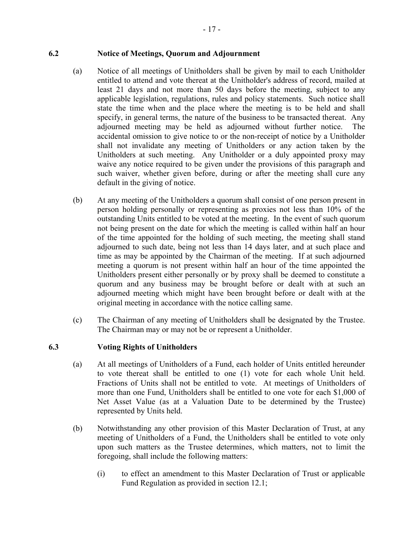### **6.2 Notice of Meetings, Quorum and Adjournment**

- (a) Notice of all meetings of Unitholders shall be given by mail to each Unitholder entitled to attend and vote thereat at the Unitholder's address of record, mailed at least 21 days and not more than 50 days before the meeting, subject to any applicable legislation, regulations, rules and policy statements. Such notice shall state the time when and the place where the meeting is to be held and shall specify, in general terms, the nature of the business to be transacted thereat. Any adjourned meeting may be held as adjourned without further notice. The accidental omission to give notice to or the non-receipt of notice by a Unitholder shall not invalidate any meeting of Unitholders or any action taken by the Unitholders at such meeting. Any Unitholder or a duly appointed proxy may waive any notice required to be given under the provisions of this paragraph and such waiver, whether given before, during or after the meeting shall cure any default in the giving of notice.
- (b) At any meeting of the Unitholders a quorum shall consist of one person present in person holding personally or representing as proxies not less than 10% of the outstanding Units entitled to be voted at the meeting. In the event of such quorum not being present on the date for which the meeting is called within half an hour of the time appointed for the holding of such meeting, the meeting shall stand adjourned to such date, being not less than 14 days later, and at such place and time as may be appointed by the Chairman of the meeting. If at such adjourned meeting a quorum is not present within half an hour of the time appointed the Unitholders present either personally or by proxy shall be deemed to constitute a quorum and any business may be brought before or dealt with at such an adjourned meeting which might have been brought before or dealt with at the original meeting in accordance with the notice calling same.
- (c) The Chairman of any meeting of Unitholders shall be designated by the Trustee. The Chairman may or may not be or represent a Unitholder.

# **6.3 Voting Rights of Unitholders**

- (a) At all meetings of Unitholders of a Fund, each holder of Units entitled hereunder to vote thereat shall be entitled to one (1) vote for each whole Unit held. Fractions of Units shall not be entitled to vote. At meetings of Unitholders of more than one Fund, Unitholders shall be entitled to one vote for each \$1,000 of Net Asset Value (as at a Valuation Date to be determined by the Trustee) represented by Units held.
- (b) Notwithstanding any other provision of this Master Declaration of Trust, at any meeting of Unitholders of a Fund, the Unitholders shall be entitled to vote only upon such matters as the Trustee determines, which matters, not to limit the foregoing, shall include the following matters:
	- (i) to effect an amendment to this Master Declaration of Trust or applicable Fund Regulation as provided in section 12.1;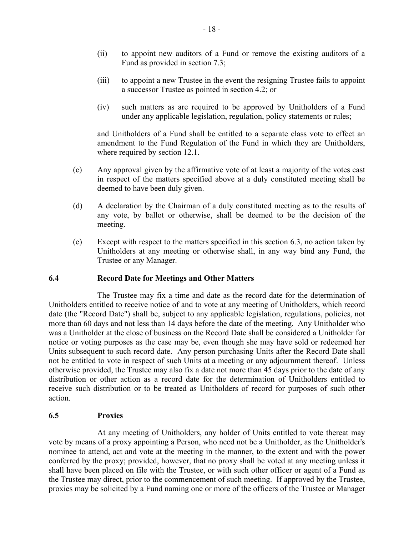- (ii) to appoint new auditors of a Fund or remove the existing auditors of a Fund as provided in section 7.3;
- (iii) to appoint a new Trustee in the event the resigning Trustee fails to appoint a successor Trustee as pointed in section 4.2; or
- (iv) such matters as are required to be approved by Unitholders of a Fund under any applicable legislation, regulation, policy statements or rules;

and Unitholders of a Fund shall be entitled to a separate class vote to effect an amendment to the Fund Regulation of the Fund in which they are Unitholders, where required by section 12.1.

- (c) Any approval given by the affirmative vote of at least a majority of the votes cast in respect of the matters specified above at a duly constituted meeting shall be deemed to have been duly given.
- (d) A declaration by the Chairman of a duly constituted meeting as to the results of any vote, by ballot or otherwise, shall be deemed to be the decision of the meeting.
- (e) Except with respect to the matters specified in this section 6.3, no action taken by Unitholders at any meeting or otherwise shall, in any way bind any Fund, the Trustee or any Manager.

# **6.4 Record Date for Meetings and Other Matters**

The Trustee may fix a time and date as the record date for the determination of Unitholders entitled to receive notice of and to vote at any meeting of Unitholders, which record date (the "Record Date") shall be, subject to any applicable legislation, regulations, policies, not more than 60 days and not less than 14 days before the date of the meeting. Any Unitholder who was a Unitholder at the close of business on the Record Date shall be considered a Unitholder for notice or voting purposes as the case may be, even though she may have sold or redeemed her Units subsequent to such record date. Any person purchasing Units after the Record Date shall not be entitled to vote in respect of such Units at a meeting or any adjournment thereof. Unless otherwise provided, the Trustee may also fix a date not more than 45 days prior to the date of any distribution or other action as a record date for the determination of Unitholders entitled to receive such distribution or to be treated as Unitholders of record for purposes of such other action.

# **6.5 Proxies**

At any meeting of Unitholders, any holder of Units entitled to vote thereat may vote by means of a proxy appointing a Person, who need not be a Unitholder, as the Unitholder's nominee to attend, act and vote at the meeting in the manner, to the extent and with the power conferred by the proxy; provided, however, that no proxy shall be voted at any meeting unless it shall have been placed on file with the Trustee, or with such other officer or agent of a Fund as the Trustee may direct, prior to the commencement of such meeting. If approved by the Trustee, proxies may be solicited by a Fund naming one or more of the officers of the Trustee or Manager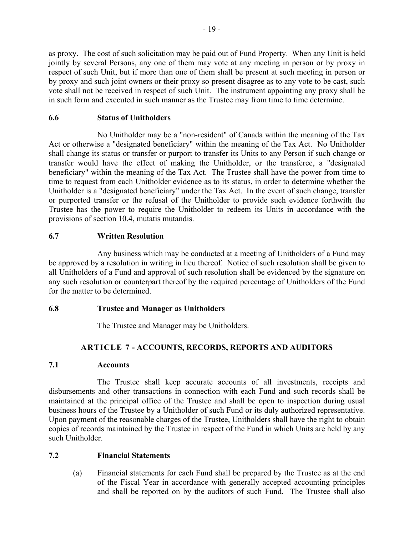as proxy. The cost of such solicitation may be paid out of Fund Property. When any Unit is held jointly by several Persons, any one of them may vote at any meeting in person or by proxy in respect of such Unit, but if more than one of them shall be present at such meeting in person or by proxy and such joint owners or their proxy so present disagree as to any vote to be cast, such vote shall not be received in respect of such Unit. The instrument appointing any proxy shall be in such form and executed in such manner as the Trustee may from time to time determine.

# **6.6 Status of Unitholders**

No Unitholder may be a "non-resident" of Canada within the meaning of the Tax Act or otherwise a "designated beneficiary" within the meaning of the Tax Act. No Unitholder shall change its status or transfer or purport to transfer its Units to any Person if such change or transfer would have the effect of making the Unitholder, or the transferee, a "designated beneficiary" within the meaning of the Tax Act. The Trustee shall have the power from time to time to request from each Unitholder evidence as to its status, in order to determine whether the Unitholder is a "designated beneficiary" under the Tax Act. In the event of such change, transfer or purported transfer or the refusal of the Unitholder to provide such evidence forthwith the Trustee has the power to require the Unitholder to redeem its Units in accordance with the provisions of section 10.4, mutatis mutandis.

# **6.7 Written Resolution**

Any business which may be conducted at a meeting of Unitholders of a Fund may be approved by a resolution in writing in lieu thereof. Notice of such resolution shall be given to all Unitholders of a Fund and approval of such resolution shall be evidenced by the signature on any such resolution or counterpart thereof by the required percentage of Unitholders of the Fund for the matter to be determined.

# **6.8 Trustee and Manager as Unitholders**

The Trustee and Manager may be Unitholders.

# **ARTICLE 7 - ACCOUNTS, RECORDS, REPORTS AND AUDITORS**

# **7.1 Accounts**

The Trustee shall keep accurate accounts of all investments, receipts and disbursements and other transactions in connection with each Fund and such records shall be maintained at the principal office of the Trustee and shall be open to inspection during usual business hours of the Trustee by a Unitholder of such Fund or its duly authorized representative. Upon payment of the reasonable charges of the Trustee, Unitholders shall have the right to obtain copies of records maintained by the Trustee in respect of the Fund in which Units are held by any such Unitholder.

# **7.2 Financial Statements**

(a) Financial statements for each Fund shall be prepared by the Trustee as at the end of the Fiscal Year in accordance with generally accepted accounting principles and shall be reported on by the auditors of such Fund. The Trustee shall also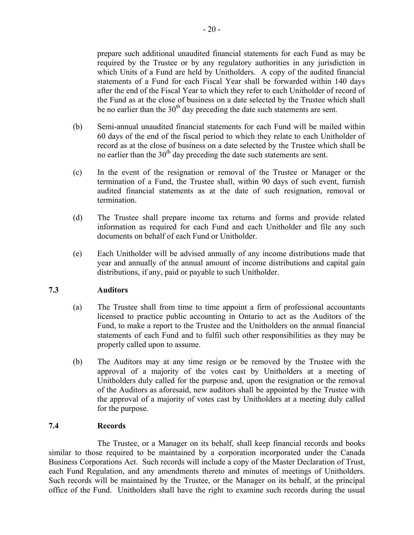prepare such additional unaudited financial statements for each Fund as may be required by the Trustee or by any regulatory authorities in any jurisdiction in which Units of a Fund are held by Unitholders. A copy of the audited financial statements of a Fund for each Fiscal Year shall be forwarded within 140 days after the end of the Fiscal Year to which they refer to each Unitholder of record of the Fund as at the close of business on a date selected by the Trustee which shall be no earlier than the  $30<sup>th</sup>$  day preceding the date such statements are sent.

- (b) Semi-annual unaudited financial statements for each Fund will be mailed within 60 days of the end of the fiscal period to which they relate to each Unitholder of record as at the close of business on a date selected by the Trustee which shall be no earlier than the  $30<sup>th</sup>$  day preceding the date such statements are sent.
- (c) In the event of the resignation or removal of the Trustee or Manager or the termination of a Fund, the Trustee shall, within 90 days of such event, furnish audited financial statements as at the date of such resignation, removal or termination.
- (d) The Trustee shall prepare income tax returns and forms and provide related information as required for each Fund and each Unitholder and file any such documents on behalf of each Fund or Unitholder.
- (e) Each Unitholder will be advised annually of any income distributions made that year and annually of the annual amount of income distributions and capital gain distributions, if any, paid or payable to such Unitholder.

# **7.3 Auditors**

- (a) The Trustee shall from time to time appoint a firm of professional accountants licensed to practice public accounting in Ontario to act as the Auditors of the Fund, to make a report to the Trustee and the Unitholders on the annual financial statements of each Fund and to fulfil such other responsibilities as they may be properly called upon to assume.
- (b) The Auditors may at any time resign or be removed by the Trustee with the approval of a majority of the votes cast by Unitholders at a meeting of Unitholders duly called for the purpose and, upon the resignation or the removal of the Auditors as aforesaid, new auditors shall be appointed by the Trustee with the approval of a majority of votes cast by Unitholders at a meeting duly called for the purpose.

#### **7.4 Records**

The Trustee, or a Manager on its behalf, shall keep financial records and books similar to those required to be maintained by a corporation incorporated under the Canada Business Corporations Act. Such records will include a copy of the Master Declaration of Trust, each Fund Regulation, and any amendments thereto and minutes of meetings of Unitholders. Such records will be maintained by the Trustee, or the Manager on its behalf, at the principal office of the Fund. Unitholders shall have the right to examine such records during the usual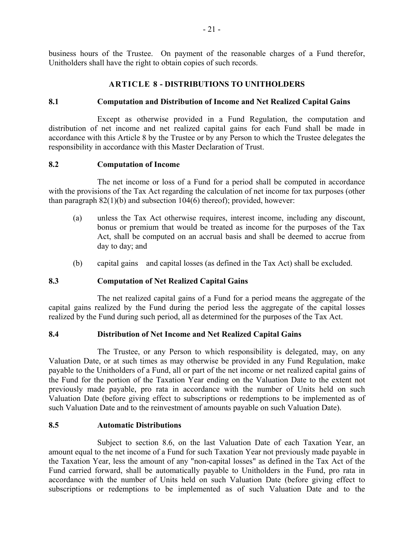business hours of the Trustee. On payment of the reasonable charges of a Fund therefor, Unitholders shall have the right to obtain copies of such records.

### **ARTICLE 8 - DISTRIBUTIONS TO UNITHOLDERS**

#### **8.1 Computation and Distribution of Income and Net Realized Capital Gains**

Except as otherwise provided in a Fund Regulation, the computation and distribution of net income and net realized capital gains for each Fund shall be made in accordance with this Article 8 by the Trustee or by any Person to which the Trustee delegates the responsibility in accordance with this Master Declaration of Trust.

#### **8.2 Computation of Income**

The net income or loss of a Fund for a period shall be computed in accordance with the provisions of the Tax Act regarding the calculation of net income for tax purposes (other than paragraph  $82(1)(b)$  and subsection  $104(6)$  thereof); provided, however:

- (a) unless the Tax Act otherwise requires, interest income, including any discount, bonus or premium that would be treated as income for the purposes of the Tax Act, shall be computed on an accrual basis and shall be deemed to accrue from day to day; and
- (b) capital gains and capital losses (as defined in the Tax Act) shall be excluded.

# **8.3 Computation of Net Realized Capital Gains**

The net realized capital gains of a Fund for a period means the aggregate of the capital gains realized by the Fund during the period less the aggregate of the capital losses realized by the Fund during such period, all as determined for the purposes of the Tax Act.

# **8.4 Distribution of Net Income and Net Realized Capital Gains**

The Trustee, or any Person to which responsibility is delegated, may, on any Valuation Date, or at such times as may otherwise be provided in any Fund Regulation, make payable to the Unitholders of a Fund, all or part of the net income or net realized capital gains of the Fund for the portion of the Taxation Year ending on the Valuation Date to the extent not previously made payable, pro rata in accordance with the number of Units held on such Valuation Date (before giving effect to subscriptions or redemptions to be implemented as of such Valuation Date and to the reinvestment of amounts payable on such Valuation Date).

#### **8.5 Automatic Distributions**

Subject to section 8.6, on the last Valuation Date of each Taxation Year, an amount equal to the net income of a Fund for such Taxation Year not previously made payable in the Taxation Year, less the amount of any "non-capital losses" as defined in the Tax Act of the Fund carried forward, shall be automatically payable to Unitholders in the Fund, pro rata in accordance with the number of Units held on such Valuation Date (before giving effect to subscriptions or redemptions to be implemented as of such Valuation Date and to the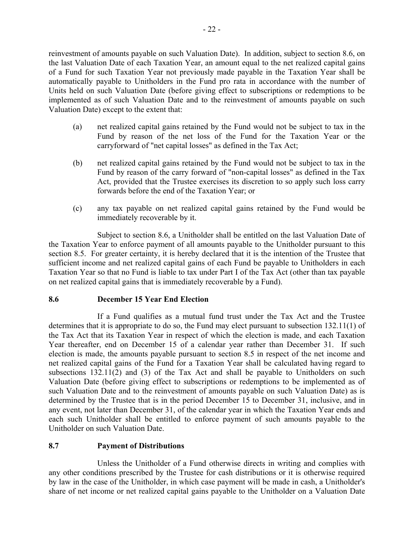reinvestment of amounts payable on such Valuation Date). In addition, subject to section 8.6, on the last Valuation Date of each Taxation Year, an amount equal to the net realized capital gains of a Fund for such Taxation Year not previously made payable in the Taxation Year shall be automatically payable to Unitholders in the Fund pro rata in accordance with the number of Units held on such Valuation Date (before giving effect to subscriptions or redemptions to be implemented as of such Valuation Date and to the reinvestment of amounts payable on such Valuation Date) except to the extent that:

- (a) net realized capital gains retained by the Fund would not be subject to tax in the Fund by reason of the net loss of the Fund for the Taxation Year or the carryforward of "net capital losses" as defined in the Tax Act;
- (b) net realized capital gains retained by the Fund would not be subject to tax in the Fund by reason of the carry forward of "non-capital losses" as defined in the Tax Act, provided that the Trustee exercises its discretion to so apply such loss carry forwards before the end of the Taxation Year; or
- (c) any tax payable on net realized capital gains retained by the Fund would be immediately recoverable by it.

Subject to section 8.6, a Unitholder shall be entitled on the last Valuation Date of the Taxation Year to enforce payment of all amounts payable to the Unitholder pursuant to this section 8.5. For greater certainty, it is hereby declared that it is the intention of the Trustee that sufficient income and net realized capital gains of each Fund be payable to Unitholders in each Taxation Year so that no Fund is liable to tax under Part I of the Tax Act (other than tax payable on net realized capital gains that is immediately recoverable by a Fund).

# **8.6 December 15 Year End Election**

If a Fund qualifies as a mutual fund trust under the Tax Act and the Trustee determines that it is appropriate to do so, the Fund may elect pursuant to subsection 132.11(1) of the Tax Act that its Taxation Year in respect of which the election is made, and each Taxation Year thereafter, end on December 15 of a calendar year rather than December 31. If such election is made, the amounts payable pursuant to section 8.5 in respect of the net income and net realized capital gains of the Fund for a Taxation Year shall be calculated having regard to subsections 132.11(2) and (3) of the Tax Act and shall be payable to Unitholders on such Valuation Date (before giving effect to subscriptions or redemptions to be implemented as of such Valuation Date and to the reinvestment of amounts payable on such Valuation Date) as is determined by the Trustee that is in the period December 15 to December 31, inclusive, and in any event, not later than December 31, of the calendar year in which the Taxation Year ends and each such Unitholder shall be entitled to enforce payment of such amounts payable to the Unitholder on such Valuation Date.

#### **8.7 Payment of Distributions**

Unless the Unitholder of a Fund otherwise directs in writing and complies with any other conditions prescribed by the Trustee for cash distributions or it is otherwise required by law in the case of the Unitholder, in which case payment will be made in cash, a Unitholder's share of net income or net realized capital gains payable to the Unitholder on a Valuation Date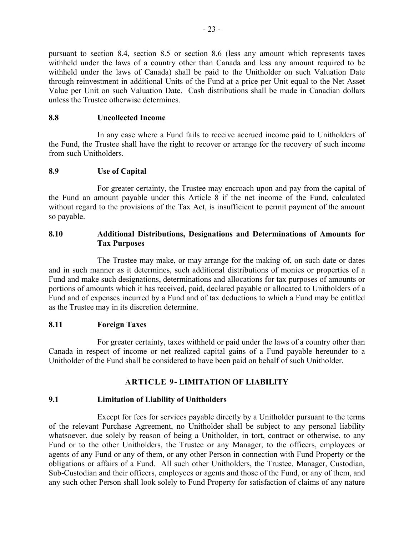pursuant to section 8.4, section 8.5 or section 8.6 (less any amount which represents taxes withheld under the laws of a country other than Canada and less any amount required to be withheld under the laws of Canada) shall be paid to the Unitholder on such Valuation Date through reinvestment in additional Units of the Fund at a price per Unit equal to the Net Asset Value per Unit on such Valuation Date. Cash distributions shall be made in Canadian dollars unless the Trustee otherwise determines.

#### **8.8 Uncollected Income**

In any case where a Fund fails to receive accrued income paid to Unitholders of the Fund, the Trustee shall have the right to recover or arrange for the recovery of such income from such Unitholders.

### **8.9 Use of Capital**

For greater certainty, the Trustee may encroach upon and pay from the capital of the Fund an amount payable under this Article 8 if the net income of the Fund, calculated without regard to the provisions of the Tax Act, is insufficient to permit payment of the amount so payable.

### **8.10 Additional Distributions, Designations and Determinations of Amounts for Tax Purposes**

The Trustee may make, or may arrange for the making of, on such date or dates and in such manner as it determines, such additional distributions of monies or properties of a Fund and make such designations, determinations and allocations for tax purposes of amounts or portions of amounts which it has received, paid, declared payable or allocated to Unitholders of a Fund and of expenses incurred by a Fund and of tax deductions to which a Fund may be entitled as the Trustee may in its discretion determine.

# **8.11 Foreign Taxes**

For greater certainty, taxes withheld or paid under the laws of a country other than Canada in respect of income or net realized capital gains of a Fund payable hereunder to a Unitholder of the Fund shall be considered to have been paid on behalf of such Unitholder.

# **ARTICLE 9- LIMITATION OF LIABILITY**

# **9.1 Limitation of Liability of Unitholders**

Except for fees for services payable directly by a Unitholder pursuant to the terms of the relevant Purchase Agreement, no Unitholder shall be subject to any personal liability whatsoever, due solely by reason of being a Unitholder, in tort, contract or otherwise, to any Fund or to the other Unitholders, the Trustee or any Manager, to the officers, employees or agents of any Fund or any of them, or any other Person in connection with Fund Property or the obligations or affairs of a Fund. All such other Unitholders, the Trustee, Manager, Custodian, Sub-Custodian and their officers, employees or agents and those of the Fund, or any of them, and any such other Person shall look solely to Fund Property for satisfaction of claims of any nature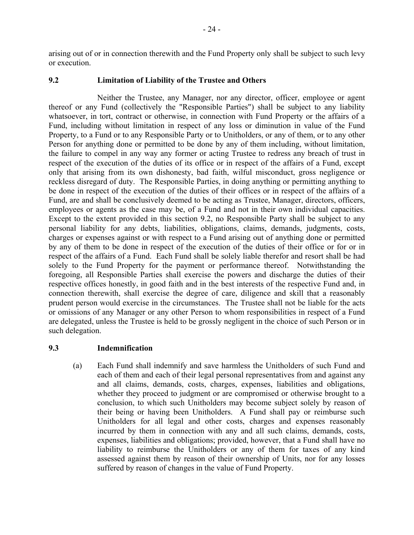# **9.2 Limitation of Liability of the Trustee and Others**

Neither the Trustee, any Manager, nor any director, officer, employee or agent thereof or any Fund (collectively the "Responsible Parties") shall be subject to any liability whatsoever, in tort, contract or otherwise, in connection with Fund Property or the affairs of a Fund, including without limitation in respect of any loss or diminution in value of the Fund Property, to a Fund or to any Responsible Party or to Unitholders, or any of them, or to any other Person for anything done or permitted to be done by any of them including, without limitation, the failure to compel in any way any former or acting Trustee to redress any breach of trust in respect of the execution of the duties of its office or in respect of the affairs of a Fund, except only that arising from its own dishonesty, bad faith, wilful misconduct, gross negligence or reckless disregard of duty. The Responsible Parties, in doing anything or permitting anything to be done in respect of the execution of the duties of their offices or in respect of the affairs of a Fund, are and shall be conclusively deemed to be acting as Trustee, Manager, directors, officers, employees or agents as the case may be, of a Fund and not in their own individual capacities. Except to the extent provided in this section 9.2, no Responsible Party shall be subject to any personal liability for any debts, liabilities, obligations, claims, demands, judgments, costs, charges or expenses against or with respect to a Fund arising out of anything done or permitted by any of them to be done in respect of the execution of the duties of their office or for or in respect of the affairs of a Fund. Each Fund shall be solely liable therefor and resort shall be had solely to the Fund Property for the payment or performance thereof. Notwithstanding the foregoing, all Responsible Parties shall exercise the powers and discharge the duties of their respective offices honestly, in good faith and in the best interests of the respective Fund and, in connection therewith, shall exercise the degree of care, diligence and skill that a reasonably prudent person would exercise in the circumstances. The Trustee shall not be liable for the acts or omissions of any Manager or any other Person to whom responsibilities in respect of a Fund are delegated, unless the Trustee is held to be grossly negligent in the choice of such Person or in such delegation.

# **9.3 Indemnification**

(a) Each Fund shall indemnify and save harmless the Unitholders of such Fund and each of them and each of their legal personal representatives from and against any and all claims, demands, costs, charges, expenses, liabilities and obligations, whether they proceed to judgment or are compromised or otherwise brought to a conclusion, to which such Unitholders may become subject solely by reason of their being or having been Unitholders. A Fund shall pay or reimburse such Unitholders for all legal and other costs, charges and expenses reasonably incurred by them in connection with any and all such claims, demands, costs, expenses, liabilities and obligations; provided, however, that a Fund shall have no liability to reimburse the Unitholders or any of them for taxes of any kind assessed against them by reason of their ownership of Units, nor for any losses suffered by reason of changes in the value of Fund Property.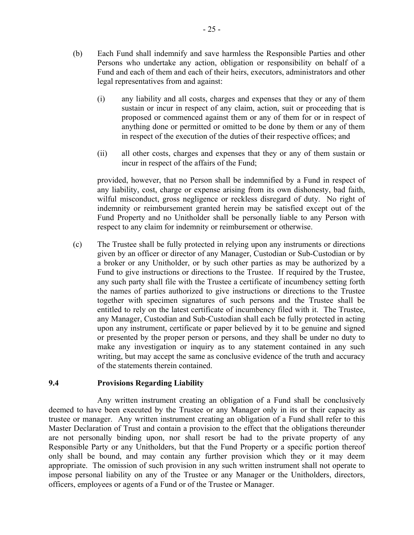- (b) Each Fund shall indemnify and save harmless the Responsible Parties and other Persons who undertake any action, obligation or responsibility on behalf of a Fund and each of them and each of their heirs, executors, administrators and other legal representatives from and against:
	- (i) any liability and all costs, charges and expenses that they or any of them sustain or incur in respect of any claim, action, suit or proceeding that is proposed or commenced against them or any of them for or in respect of anything done or permitted or omitted to be done by them or any of them in respect of the execution of the duties of their respective offices; and
	- (ii) all other costs, charges and expenses that they or any of them sustain or incur in respect of the affairs of the Fund;

provided, however, that no Person shall be indemnified by a Fund in respect of any liability, cost, charge or expense arising from its own dishonesty, bad faith, wilful misconduct, gross negligence or reckless disregard of duty. No right of indemnity or reimbursement granted herein may be satisfied except out of the Fund Property and no Unitholder shall be personally liable to any Person with respect to any claim for indemnity or reimbursement or otherwise.

(c) The Trustee shall be fully protected in relying upon any instruments or directions given by an officer or director of any Manager, Custodian or Sub-Custodian or by a broker or any Unitholder, or by such other parties as may be authorized by a Fund to give instructions or directions to the Trustee. If required by the Trustee, any such party shall file with the Trustee a certificate of incumbency setting forth the names of parties authorized to give instructions or directions to the Trustee together with specimen signatures of such persons and the Trustee shall be entitled to rely on the latest certificate of incumbency filed with it. The Trustee, any Manager, Custodian and Sub-Custodian shall each be fully protected in acting upon any instrument, certificate or paper believed by it to be genuine and signed or presented by the proper person or persons, and they shall be under no duty to make any investigation or inquiry as to any statement contained in any such writing, but may accept the same as conclusive evidence of the truth and accuracy of the statements therein contained.

#### **9.4 Provisions Regarding Liability**

Any written instrument creating an obligation of a Fund shall be conclusively deemed to have been executed by the Trustee or any Manager only in its or their capacity as trustee or manager. Any written instrument creating an obligation of a Fund shall refer to this Master Declaration of Trust and contain a provision to the effect that the obligations thereunder are not personally binding upon, nor shall resort be had to the private property of any Responsible Party or any Unitholders, but that the Fund Property or a specific portion thereof only shall be bound, and may contain any further provision which they or it may deem appropriate. The omission of such provision in any such written instrument shall not operate to impose personal liability on any of the Trustee or any Manager or the Unitholders, directors, officers, employees or agents of a Fund or of the Trustee or Manager.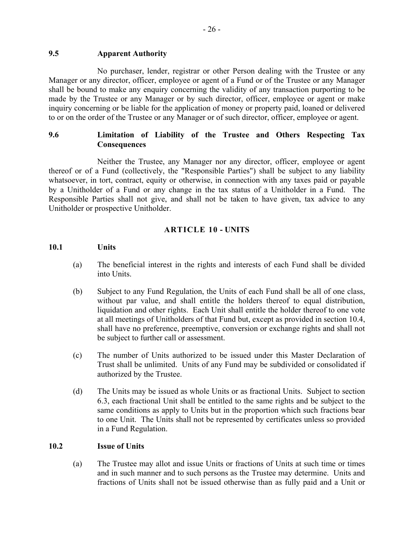#### **9.5 Apparent Authority**

No purchaser, lender, registrar or other Person dealing with the Trustee or any Manager or any director, officer, employee or agent of a Fund or of the Trustee or any Manager shall be bound to make any enquiry concerning the validity of any transaction purporting to be made by the Trustee or any Manager or by such director, officer, employee or agent or make inquiry concerning or be liable for the application of money or property paid, loaned or delivered to or on the order of the Trustee or any Manager or of such director, officer, employee or agent.

### **9.6 Limitation of Liability of the Trustee and Others Respecting Tax Consequences**

Neither the Trustee, any Manager nor any director, officer, employee or agent thereof or of a Fund (collectively, the "Responsible Parties") shall be subject to any liability whatsoever, in tort, contract, equity or otherwise, in connection with any taxes paid or payable by a Unitholder of a Fund or any change in the tax status of a Unitholder in a Fund. The Responsible Parties shall not give, and shall not be taken to have given, tax advice to any Unitholder or prospective Unitholder.

### **ARTICLE 10 - UNITS**

#### **10.1 Units**

- (a) The beneficial interest in the rights and interests of each Fund shall be divided into Units.
- (b) Subject to any Fund Regulation, the Units of each Fund shall be all of one class, without par value, and shall entitle the holders thereof to equal distribution, liquidation and other rights. Each Unit shall entitle the holder thereof to one vote at all meetings of Unitholders of that Fund but, except as provided in section 10.4, shall have no preference, preemptive, conversion or exchange rights and shall not be subject to further call or assessment.
- (c) The number of Units authorized to be issued under this Master Declaration of Trust shall be unlimited. Units of any Fund may be subdivided or consolidated if authorized by the Trustee.
- (d) The Units may be issued as whole Units or as fractional Units. Subject to section 6.3, each fractional Unit shall be entitled to the same rights and be subject to the same conditions as apply to Units but in the proportion which such fractions bear to one Unit. The Units shall not be represented by certificates unless so provided in a Fund Regulation.

#### **10.2 Issue of Units**

(a) The Trustee may allot and issue Units or fractions of Units at such time or times and in such manner and to such persons as the Trustee may determine. Units and fractions of Units shall not be issued otherwise than as fully paid and a Unit or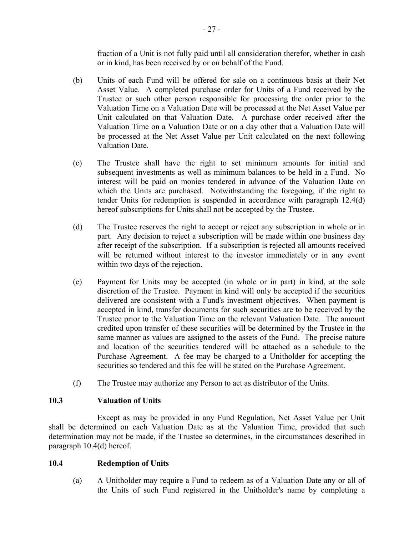fraction of a Unit is not fully paid until all consideration therefor, whether in cash or in kind, has been received by or on behalf of the Fund.

- (b) Units of each Fund will be offered for sale on a continuous basis at their Net Asset Value. A completed purchase order for Units of a Fund received by the Trustee or such other person responsible for processing the order prior to the Valuation Time on a Valuation Date will be processed at the Net Asset Value per Unit calculated on that Valuation Date. A purchase order received after the Valuation Time on a Valuation Date or on a day other that a Valuation Date will be processed at the Net Asset Value per Unit calculated on the next following Valuation Date.
- (c) The Trustee shall have the right to set minimum amounts for initial and subsequent investments as well as minimum balances to be held in a Fund. No interest will be paid on monies tendered in advance of the Valuation Date on which the Units are purchased. Notwithstanding the foregoing, if the right to tender Units for redemption is suspended in accordance with paragraph 12.4(d) hereof subscriptions for Units shall not be accepted by the Trustee.
- (d) The Trustee reserves the right to accept or reject any subscription in whole or in part. Any decision to reject a subscription will be made within one business day after receipt of the subscription. If a subscription is rejected all amounts received will be returned without interest to the investor immediately or in any event within two days of the rejection.
- (e) Payment for Units may be accepted (in whole or in part) in kind, at the sole discretion of the Trustee. Payment in kind will only be accepted if the securities delivered are consistent with a Fund's investment objectives. When payment is accepted in kind, transfer documents for such securities are to be received by the Trustee prior to the Valuation Time on the relevant Valuation Date. The amount credited upon transfer of these securities will be determined by the Trustee in the same manner as values are assigned to the assets of the Fund. The precise nature and location of the securities tendered will be attached as a schedule to the Purchase Agreement. A fee may be charged to a Unitholder for accepting the securities so tendered and this fee will be stated on the Purchase Agreement.
- (f) The Trustee may authorize any Person to act as distributor of the Units.

#### **10.3 Valuation of Units**

Except as may be provided in any Fund Regulation, Net Asset Value per Unit shall be determined on each Valuation Date as at the Valuation Time, provided that such determination may not be made, if the Trustee so determines, in the circumstances described in paragraph 10.4(d) hereof.

#### **10.4 Redemption of Units**

(a) A Unitholder may require a Fund to redeem as of a Valuation Date any or all of the Units of such Fund registered in the Unitholder's name by completing a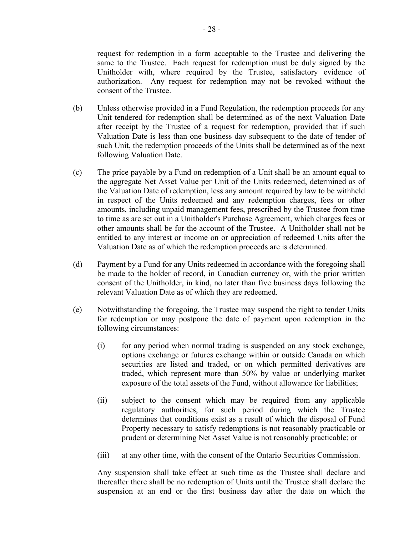request for redemption in a form acceptable to the Trustee and delivering the same to the Trustee. Each request for redemption must be duly signed by the Unitholder with, where required by the Trustee, satisfactory evidence of authorization. Any request for redemption may not be revoked without the consent of the Trustee.

- (b) Unless otherwise provided in a Fund Regulation, the redemption proceeds for any Unit tendered for redemption shall be determined as of the next Valuation Date after receipt by the Trustee of a request for redemption, provided that if such Valuation Date is less than one business day subsequent to the date of tender of such Unit, the redemption proceeds of the Units shall be determined as of the next following Valuation Date.
- (c) The price payable by a Fund on redemption of a Unit shall be an amount equal to the aggregate Net Asset Value per Unit of the Units redeemed, determined as of the Valuation Date of redemption, less any amount required by law to be withheld in respect of the Units redeemed and any redemption charges, fees or other amounts, including unpaid management fees, prescribed by the Trustee from time to time as are set out in a Unitholder's Purchase Agreement, which charges fees or other amounts shall be for the account of the Trustee. A Unitholder shall not be entitled to any interest or income on or appreciation of redeemed Units after the Valuation Date as of which the redemption proceeds are is determined.
- (d) Payment by a Fund for any Units redeemed in accordance with the foregoing shall be made to the holder of record, in Canadian currency or, with the prior written consent of the Unitholder, in kind, no later than five business days following the relevant Valuation Date as of which they are redeemed.
- (e) Notwithstanding the foregoing, the Trustee may suspend the right to tender Units for redemption or may postpone the date of payment upon redemption in the following circumstances:
	- (i) for any period when normal trading is suspended on any stock exchange, options exchange or futures exchange within or outside Canada on which securities are listed and traded, or on which permitted derivatives are traded, which represent more than 50% by value or underlying market exposure of the total assets of the Fund, without allowance for liabilities;
	- (ii) subject to the consent which may be required from any applicable regulatory authorities, for such period during which the Trustee determines that conditions exist as a result of which the disposal of Fund Property necessary to satisfy redemptions is not reasonably practicable or prudent or determining Net Asset Value is not reasonably practicable; or
	- (iii) at any other time, with the consent of the Ontario Securities Commission.

Any suspension shall take effect at such time as the Trustee shall declare and thereafter there shall be no redemption of Units until the Trustee shall declare the suspension at an end or the first business day after the date on which the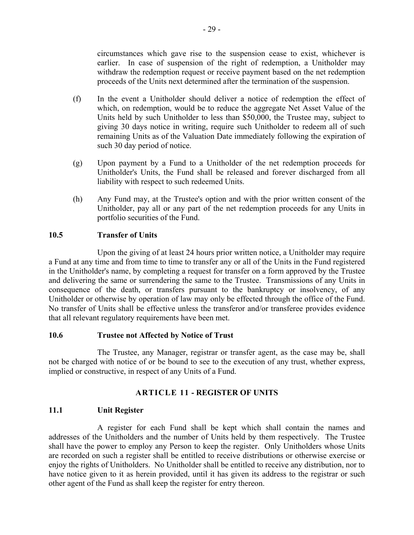circumstances which gave rise to the suspension cease to exist, whichever is earlier. In case of suspension of the right of redemption, a Unitholder may withdraw the redemption request or receive payment based on the net redemption proceeds of the Units next determined after the termination of the suspension.

- (f) In the event a Unitholder should deliver a notice of redemption the effect of which, on redemption, would be to reduce the aggregate Net Asset Value of the Units held by such Unitholder to less than \$50,000, the Trustee may, subject to giving 30 days notice in writing, require such Unitholder to redeem all of such remaining Units as of the Valuation Date immediately following the expiration of such 30 day period of notice.
- (g) Upon payment by a Fund to a Unitholder of the net redemption proceeds for Unitholder's Units, the Fund shall be released and forever discharged from all liability with respect to such redeemed Units.
- (h) Any Fund may, at the Trustee's option and with the prior written consent of the Unitholder, pay all or any part of the net redemption proceeds for any Units in portfolio securities of the Fund.

### **10.5 Transfer of Units**

Upon the giving of at least 24 hours prior written notice, a Unitholder may require a Fund at any time and from time to time to transfer any or all of the Units in the Fund registered in the Unitholder's name, by completing a request for transfer on a form approved by the Trustee and delivering the same or surrendering the same to the Trustee. Transmissions of any Units in consequence of the death, or transfers pursuant to the bankruptcy or insolvency, of any Unitholder or otherwise by operation of law may only be effected through the office of the Fund. No transfer of Units shall be effective unless the transferor and/or transferee provides evidence that all relevant regulatory requirements have been met.

#### **10.6 Trustee not Affected by Notice of Trust**

The Trustee, any Manager, registrar or transfer agent, as the case may be, shall not be charged with notice of or be bound to see to the execution of any trust, whether express, implied or constructive, in respect of any Units of a Fund.

# **ARTICLE 11 - REGISTER OF UNITS**

# **11.1 Unit Register**

A register for each Fund shall be kept which shall contain the names and addresses of the Unitholders and the number of Units held by them respectively. The Trustee shall have the power to employ any Person to keep the register. Only Unitholders whose Units are recorded on such a register shall be entitled to receive distributions or otherwise exercise or enjoy the rights of Unitholders. No Unitholder shall be entitled to receive any distribution, nor to have notice given to it as herein provided, until it has given its address to the registrar or such other agent of the Fund as shall keep the register for entry thereon.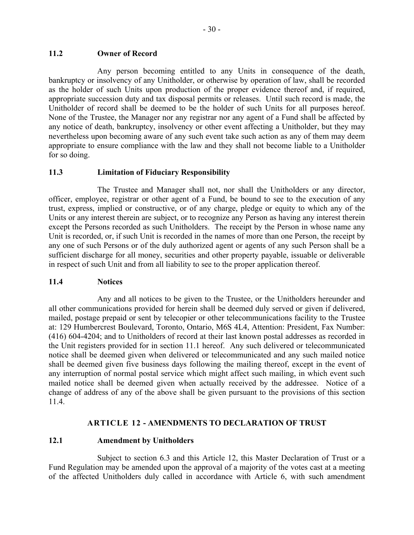Any person becoming entitled to any Units in consequence of the death, bankruptcy or insolvency of any Unitholder, or otherwise by operation of law, shall be recorded as the holder of such Units upon production of the proper evidence thereof and, if required, appropriate succession duty and tax disposal permits or releases. Until such record is made, the Unitholder of record shall be deemed to be the holder of such Units for all purposes hereof. None of the Trustee, the Manager nor any registrar nor any agent of a Fund shall be affected by any notice of death, bankruptcy, insolvency or other event affecting a Unitholder, but they may nevertheless upon becoming aware of any such event take such action as any of them may deem appropriate to ensure compliance with the law and they shall not become liable to a Unitholder for so doing.

# **11.3 Limitation of Fiduciary Responsibility**

The Trustee and Manager shall not, nor shall the Unitholders or any director, officer, employee, registrar or other agent of a Fund, be bound to see to the execution of any trust, express, implied or constructive, or of any charge, pledge or equity to which any of the Units or any interest therein are subject, or to recognize any Person as having any interest therein except the Persons recorded as such Unitholders. The receipt by the Person in whose name any Unit is recorded, or, if such Unit is recorded in the names of more than one Person, the receipt by any one of such Persons or of the duly authorized agent or agents of any such Person shall be a sufficient discharge for all money, securities and other property payable, issuable or deliverable in respect of such Unit and from all liability to see to the proper application thereof.

# **11.4 Notices**

Any and all notices to be given to the Trustee, or the Unitholders hereunder and all other communications provided for herein shall be deemed duly served or given if delivered, mailed, postage prepaid or sent by telecopier or other telecommunications facility to the Trustee at: 129 Humbercrest Boulevard, Toronto, Ontario, M6S 4L4, Attention: President, Fax Number: (416) 604-4204; and to Unitholders of record at their last known postal addresses as recorded in the Unit registers provided for in section 11.1 hereof. Any such delivered or telecommunicated notice shall be deemed given when delivered or telecommunicated and any such mailed notice shall be deemed given five business days following the mailing thereof, except in the event of any interruption of normal postal service which might affect such mailing, in which event such mailed notice shall be deemed given when actually received by the addressee. Notice of a change of address of any of the above shall be given pursuant to the provisions of this section 11.4.

# **ARTICLE 12 - AMENDMENTS TO DECLARATION OF TRUST**

# **12.1 Amendment by Unitholders**

Subject to section 6.3 and this Article 12, this Master Declaration of Trust or a Fund Regulation may be amended upon the approval of a majority of the votes cast at a meeting of the affected Unitholders duly called in accordance with Article 6, with such amendment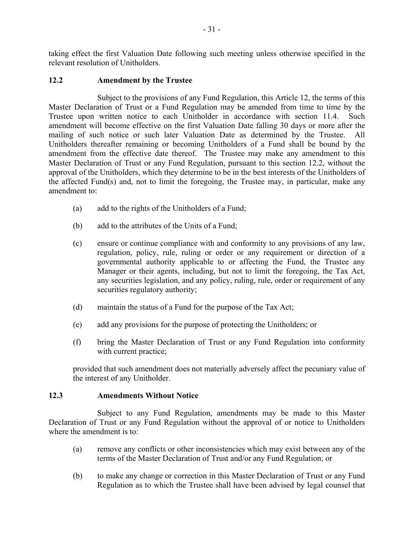taking effect the first Valuation Date following such meeting unless otherwise specified in the relevant resolution of Unitholders.

### **12.2 Amendment by the Trustee**

Subject to the provisions of any Fund Regulation, this Article 12, the terms of this Master Declaration of Trust or a Fund Regulation may be amended from time to time by the Trustee upon written notice to each Unitholder in accordance with section 11.4. Such amendment will become effective on the first Valuation Date falling 30 days or more after the mailing of such notice or such later Valuation Date as determined by the Trustee. All Unitholders thereafter remaining or becoming Unitholders of a Fund shall be bound by the amendment from the effective date thereof. The Trustee may make any amendment to this Master Declaration of Trust or any Fund Regulation, pursuant to this section 12.2, without the approval of the Unitholders, which they determine to be in the best interests of the Unitholders of the affected Fund(s) and, not to limit the foregoing, the Trustee may, in particular, make any amendment to:

- (a) add to the rights of the Unitholders of a Fund;
- (b) add to the attributes of the Units of a Fund;
- (c) ensure or continue compliance with and conformity to any provisions of any law, regulation, policy, rule, ruling or order or any requirement or direction of a governmental authority applicable to or affecting the Fund, the Trustee any Manager or their agents, including, but not to limit the foregoing, the Tax Act, any securities legislation, and any policy, ruling, rule, order or requirement of any securities regulatory authority;
- (d) maintain the status of a Fund for the purpose of the Tax Act;
- (e) add any provisions for the purpose of protecting the Unitholders; or
- (f) bring the Master Declaration of Trust or any Fund Regulation into conformity with current practice;

provided that such amendment does not materially adversely affect the pecuniary value of the interest of any Unitholder.

#### **12.3 Amendments Without Notice**

Subject to any Fund Regulation, amendments may be made to this Master Declaration of Trust or any Fund Regulation without the approval of or notice to Unitholders where the amendment is to:

- (a) remove any conflicts or other inconsistencies which may exist between any of the terms of the Master Declaration of Trust and/or any Fund Regulation; or
- (b) to make any change or correction in this Master Declaration of Trust or any Fund Regulation as to which the Trustee shall have been advised by legal counsel that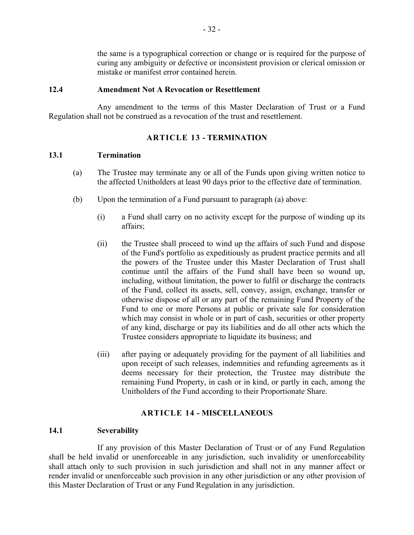the same is a typographical correction or change or is required for the purpose of curing any ambiguity or defective or inconsistent provision or clerical omission or mistake or manifest error contained herein.

#### **12.4 Amendment Not A Revocation or Resettlement**

Any amendment to the terms of this Master Declaration of Trust or a Fund Regulation shall not be construed as a revocation of the trust and resettlement.

# **ARTICLE 13 - TERMINATION**

#### **13.1 Termination**

- (a) The Trustee may terminate any or all of the Funds upon giving written notice to the affected Unitholders at least 90 days prior to the effective date of termination.
- (b) Upon the termination of a Fund pursuant to paragraph (a) above:
	- (i) a Fund shall carry on no activity except for the purpose of winding up its affairs;
	- (ii) the Trustee shall proceed to wind up the affairs of such Fund and dispose of the Fund's portfolio as expeditiously as prudent practice permits and all the powers of the Trustee under this Master Declaration of Trust shall continue until the affairs of the Fund shall have been so wound up, including, without limitation, the power to fulfil or discharge the contracts of the Fund, collect its assets, sell, convey, assign, exchange, transfer or otherwise dispose of all or any part of the remaining Fund Property of the Fund to one or more Persons at public or private sale for consideration which may consist in whole or in part of cash, securities or other property of any kind, discharge or pay its liabilities and do all other acts which the Trustee considers appropriate to liquidate its business; and
	- (iii) after paying or adequately providing for the payment of all liabilities and upon receipt of such releases, indemnities and refunding agreements as it deems necessary for their protection, the Trustee may distribute the remaining Fund Property, in cash or in kind, or partly in each, among the Unitholders of the Fund according to their Proportionate Share.

# **ARTICLE 14 - MISCELLANEOUS**

#### **14.1 Severability**

If any provision of this Master Declaration of Trust or of any Fund Regulation shall be held invalid or unenforceable in any jurisdiction, such invalidity or unenforceability shall attach only to such provision in such jurisdiction and shall not in any manner affect or render invalid or unenforceable such provision in any other jurisdiction or any other provision of this Master Declaration of Trust or any Fund Regulation in any jurisdiction.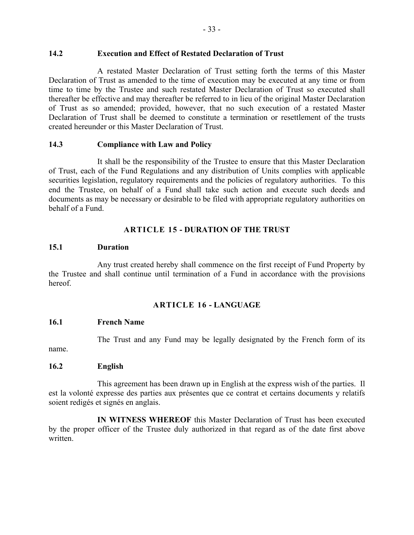#### **14.2 Execution and Effect of Restated Declaration of Trust**

A restated Master Declaration of Trust setting forth the terms of this Master Declaration of Trust as amended to the time of execution may be executed at any time or from time to time by the Trustee and such restated Master Declaration of Trust so executed shall thereafter be effective and may thereafter be referred to in lieu of the original Master Declaration of Trust as so amended; provided, however, that no such execution of a restated Master Declaration of Trust shall be deemed to constitute a termination or resettlement of the trusts created hereunder or this Master Declaration of Trust.

### **14.3 Compliance with Law and Policy**

It shall be the responsibility of the Trustee to ensure that this Master Declaration of Trust, each of the Fund Regulations and any distribution of Units complies with applicable securities legislation, regulatory requirements and the policies of regulatory authorities. To this end the Trustee, on behalf of a Fund shall take such action and execute such deeds and documents as may be necessary or desirable to be filed with appropriate regulatory authorities on behalf of a Fund.

# **ARTICLE 15 - DURATION OF THE TRUST**

### **15.1 Duration**

Any trust created hereby shall commence on the first receipt of Fund Property by the Trustee and shall continue until termination of a Fund in accordance with the provisions hereof.

# **ARTICLE 16 - LANGUAGE**

# **16.1 French Name**

The Trust and any Fund may be legally designated by the French form of its name.

#### **16.2 English**

This agreement has been drawn up in English at the express wish of the parties. Il est la volonté expresse des parties aux présentes que ce contrat et certains documents y relatifs soient redigés et signés en anglais.

**IN WITNESS WHEREOF** this Master Declaration of Trust has been executed by the proper officer of the Trustee duly authorized in that regard as of the date first above written.